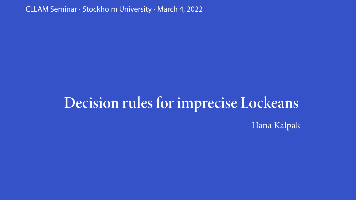CLLAM Seminar *·* Stockholm University *·* March 4, 2022

## **Decision rules for imprecise Lockeans**

Hana Kalpak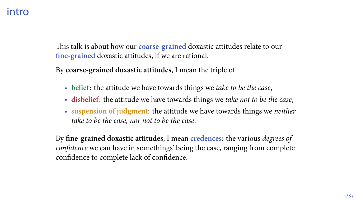This talk is about how our **coarse-grained** doxastic attitudes relate to our **fine-grained** doxastic attitudes, if we are rational.

By **coarse-grained doxastic attitudes**, I mean the triple of

- **belief**: the attitude we have towards things we *take to be the case*,
- **disbelief**: the attitude we have towards things we *take not to be the case*,
- **suspension of judgment**: the attitude we have towards things we *neither take to be the case, nor not to be the case*.

By **fine-grained doxastic attitudes**, I mean **credences**: the various *degrees of confidence* we can have in somethings' being the case, ranging from complete confidence to complete lack of confidence.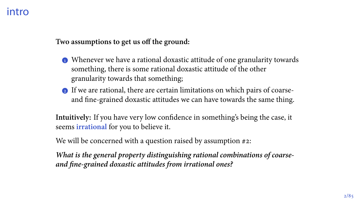**Two assumptions to get us off the ground:**

- Whenever we have a rational doxastic attitude of one granularity towards something, there is some rational doxastic attitude of the other granularity towards that something;
- $\bullet$  If we are rational, there are certain limitations on which pairs of coarseand fine-grained doxastic attitudes we can have towards the same thing.

**Intuitively:** If you have very low confidence in something's being the case, it seems **irrational** for you to believe it.

We will be concerned with a question raised by assumption  $\#2$ :

*What is the general property distinguishing rational combinations of coarseand fine-grained doxastic attitudes from irrational ones?*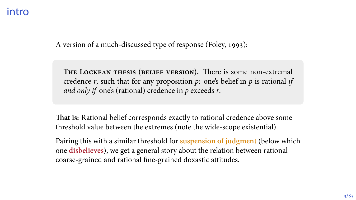A version of a much-discussed type of response (Foley, 1993):

**The Lockean thesis (belief version).** There is some non-extremal credence *r*, such that for any proposition *p*: one's belief in *p* is rational *if and only if* one's (rational) credence in *p* exceeds *r*.

**That is:** Rational belief corresponds exactly to rational credence above some threshold value between the extremes (note the wide-scope existential).

Pairing this with a similar threshold for **suspension of judgment** (below which one **disbelieves**), we get a general story about the relation between rational coarse-grained and rational fine-grained doxastic attitudes.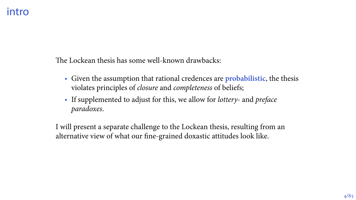The Lockean thesis has some well-known drawbacks:

- Given the assumption that rational credences are **probabilistic**, the thesis violates principles of *closure* and *completeness* of beliefs;
- If supplemented to adjust for this, we allow for *lottery-* and *preface paradoxes*.

I will present a separate challenge to the Lockean thesis, resulting from an alternative view of what our fine-grained doxastic attitudes look like.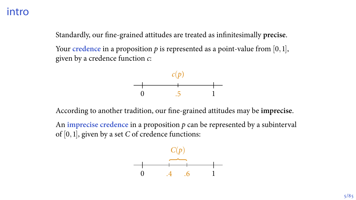Standardly, our fine-grained attitudes are treated as infinitesimally **precise**.

Your credence in a proposition  $p$  is represented as a point-value from  $[0,1]$ , given by a credence function *c*:



According to another tradition, our fine-grained attitudes may be **imprecise**.

An **imprecise credence** in a proposition *p* can be represented by a subinterval of [0, 1], given by a set *C* of credence functions:

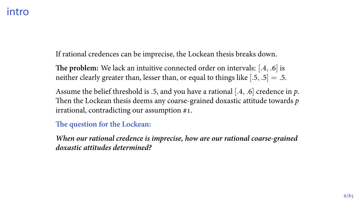If rational credences can be imprecise, the Lockean thesis breaks down.

The problem: We lack an intuitive connected order on intervals: [.4, .6] is neither clearly greater than, lesser than, or equal to things like  $[0.5, 0.5] = 0.5$ .

Assume the belief threshold is .5, and you have a rational [.4, .6] credence in p. Then the Lockean thesis deems any coarse-grained doxastic attitude towards *p* irrational, contradicting our assumption  $#1$ .

#### **The question for the Lockean:**

*When our rational credence is imprecise, how are our rational coarse-grained doxastic attitudes determined?*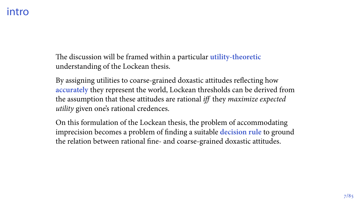The discussion will be framed within a particular **utility-theoretic** understanding of the Lockean thesis.

By assigning utilities to coarse-grained doxastic attitudes reflecting how **accurately** they represent the world, Lockean thresholds can be derived from the assumption that these attitudes are rational *iff* they *maximize expected utility* given one's rational credences.

On this formulation of the Lockean thesis, the problem of accommodating imprecision becomes a problem of finding a suitable **decision rule** to ground the relation between rational fine- and coarse-grained doxastic attitudes.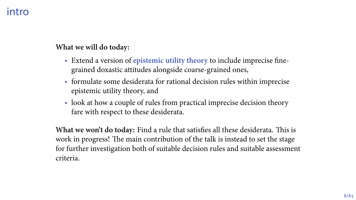**What we will do today:**

- Extend a version of **epistemic utility theory** to include imprecise finegrained doxastic attitudes alongside coarse-grained ones,
- formulate some desiderata for rational decision rules within imprecise epistemic utility theory, and
- look at how a couple of rules from practical imprecise decision theory fare with respect to these desiderata.

**What we won't do today:** Find a rule that satisfies all these desiderata. This is work in progress! The main contribution of the talk is instead to set the stage for further investigation both of suitable decision rules and suitable assessment criteria.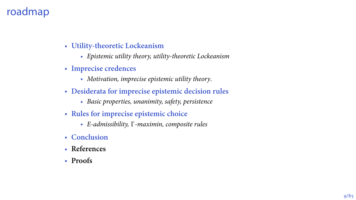## roadmap

- **Utility-theoretic Lockeanism**
	- *Epistemic utility theory, utility-theoretic Lockeanism*
- **Imprecise credences**
	- *Motivation, imprecise epistemic utility theory*.
- **Desiderata for imprecise epistemic decision rules**
	- *Basic properties, unanimity, safety, persistence*
- **Rules for imprecise epistemic choice**
	- *E-admissibility,* Γ*-maximin, composite rules*
- **Conclusion**
- **References**
- **Proofs**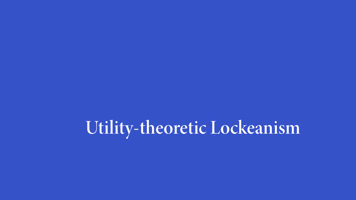**Utility-theoretic Lockeanism**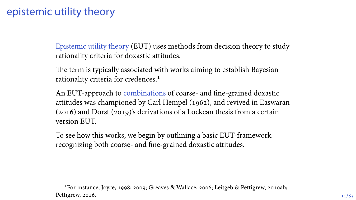## epistemic utility theory

Epistemic utility theory (EUT) uses methods from decision theory to study rationality criteria for doxastic attitudes.

The term is typically associated with works aiming to establish Bayesian rationality criteria for credences.

An EUT-approach to combinations of coarse- and fine-grained doxastic attitudes was championed by Carl Hempel (1962), and revived in Easwaran  $(2016)$  and Dorst  $(2019)$ 's derivations of a Lockean thesis from a certain version EUT.

To see how this works, we begin by outlining a basic EUT-framework recognizing both coarse- and fine-grained doxastic attitudes.

<sup>&</sup>lt;sup>1</sup> For instance, Joyce, 1998; 2009; Greaves & Wallace, 2006; Leitgeb & Pettigrew, 2010ab; Pettigrew, 2016.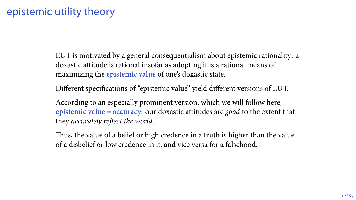## epistemic utility theory

EUT is motivated by a general consequentialism about epistemic rationality: a doxastic attitude is rational insofar as adopting it is a rational means of maximizing the **epistemic value** of one's doxastic state.

Different specifications of "epistemic value" yield different versions of EUT.

According to an especially prominent version, which we will follow here, **epistemic value = accuracy**: our doxastic attitudes are *good* to the extent that they *accurately reflect the world*.

Thus, the value of a belief or high credence in a truth is higher than the value of a disbelief or low credence in it, and vice versa for a falsehood.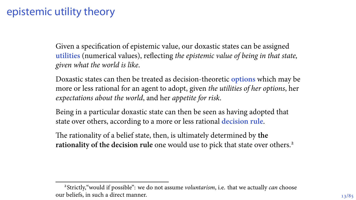## epistemic utility theory

Given a specification of epistemic value, our doxastic states can be assigned **utilities** (numerical values), reflecting *the epistemic value of being in that state, given what the world is like*.

Doxastic states can then be treated as decision-theoretic **options** which may be more or less rational for an agent to adopt, given *the utilities of her options*, her *expectations about the world*, and her *appetite for risk*.

Being in a particular doxastic state can then be seen as having adopted that state over others, according to a more or less rational **decision rule**.

The rationality of a belief state, then, is ultimately determined by **the rationality of the decision rule** one would use to pick that state over others.

Strictly,"would if possible": we do not assume *voluntarism*, i.e. that we actually *can* choose our beliefs, in such a direct manner.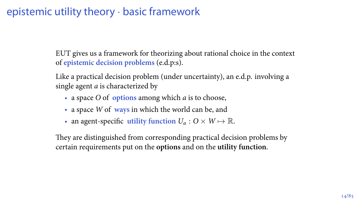EUT gives us a framework for theorizing about rational choice in the context of **epistemic decision problems** (e.d.p:s).

Like a practical decision problem (under uncertainty), an e.d.p. involving a single agent *a* is characterized by

- a space *O* of **options** among which *a* is to choose,
- a space *W* of **ways** in which the world can be, and
- an agent-specific **utility function**  $U_a: O \times W \mapsto \mathbb{R}$ .

They are distinguished from corresponding practical decision problems by certain requirements put on the **options** and on the **utility function**.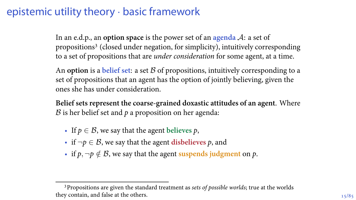In an e.d.p., an **option space** is the power set of an **agenda** *A*: a set of propositions (closed under negation, for simplicity), intuitively corresponding to a set of propositions that are *under consideration* for some agent, at a time.

An **option** is a **belief set**: a set *B* of propositions, intuitively corresponding to a set of propositions that an agent has the option of jointly believing, given the ones she has under consideration.

**Belief sets represent the coarse-grained doxastic attitudes of an agent**. Where *B* is her belief set and *p* a proposition on her agenda:

- If  $p \in \mathcal{B}$ , we say that the agent believes p,
- if *¬p ∈ B*, we say that the agent **disbelieves** *p*, and
- if  $p, \neg p \notin \mathcal{B}$ , we say that the agent **suspends** judgment on  $p$ .

Propositions are given the standard treatment as *sets of possible worlds*; true at the worlds they contain, and false at the others.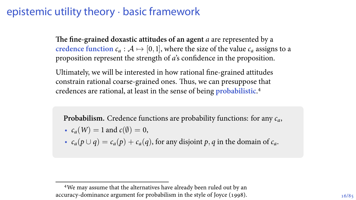**The fine-grained doxastic attitudes of an agent** *a* are represented by a **credence function**  $c_a : A \mapsto [0, 1]$ , where the size of the value  $c_a$  assigns to a proposition represent the strength of *a*'s confidence in the proposition.

Ultimately, we will be interested in how rational fine-grained attitudes constrain rational coarse-grained ones. Thus, we can presuppose that credences are rational, at least in the sense of being **probabilistic**.

**Probabilism.** Credence functions are probability functions: for any *ca*,

- $c_a(W) = 1$  and  $c(\emptyset) = 0$ ,
- $c_a(p \cup q) = c_a(p) + c_a(q)$ , for any disjoint p, q in the domain of  $c_a$ .

We may assume that the alternatives have already been ruled out by an accuracy-dominance argument for probabilism in the style of Joyce (1998).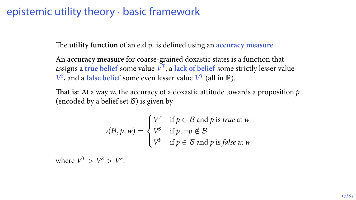The **utility function** of an e.d.p. is defined using an **accuracy measure**.

An **accuracy measure** for coarse-grained doxastic states is a function that assigns a true belief some value  $V^T$ , a lack of belief some strictly lesser value  $V^S$ , and a false belief some even lesser value  $V^T$  (all in  $\mathbb{R}$ ).

**That is:** At a way *w*, the accuracy of a doxastic attitude towards a proposition *p* (encoded by a belief set  $\mathcal{B}$ ) is given by

$$
v(\mathcal{B}, p, w) = \begin{cases} V^T & \text{if } p \in \mathcal{B} \text{ and } p \text{ is true at } w \\ V^S & \text{if } p, \neg p \notin \mathcal{B} \\ V^F & \text{if } p \in \mathcal{B} \text{ and } p \text{ is false at } w \end{cases}
$$

where  $V^T > V^S > V^F$ .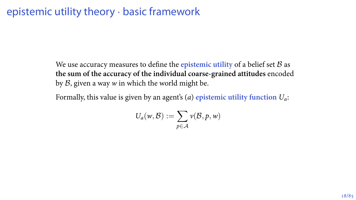We use accuracy measures to define the **epistemic utility** of a belief set *B* as **the sum of the accuracy of the individual coarse-grained attitudes** encoded by *B*, given a way *w* in which the world might be.

Formally, this value is given by an agent's (*a*) **epistemic utility function** *Ua*:

$$
U_a(w,\mathcal{B}) := \sum_{p \in \mathcal{A}} v(\mathcal{B}, p, w)
$$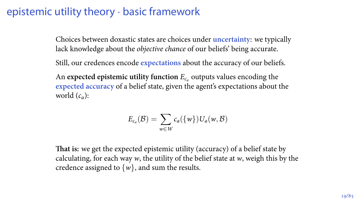Choices between doxastic states are choices under **uncertainty**: we typically lack knowledge about the *objective chance* of our beliefs' being accurate.

Still, our credences encode **expectations** about the accuracy of our beliefs.

An expected epistemic utility function  $E_c$  outputs values encoding the **expected accuracy** of a belief state, given the agent's expectations about the world  $(c_a)$ :

$$
E_{c_a}(\mathcal{B}) = \sum_{w \in W} c_a(\{w\}) U_a(w, \mathcal{B})
$$

**That is:** we get the expected epistemic utility (accuracy) of a belief state by calculating, for each way *w*, the utility of the belief state at *w*, weigh this by the credence assigned to *{w}*, and sum the results.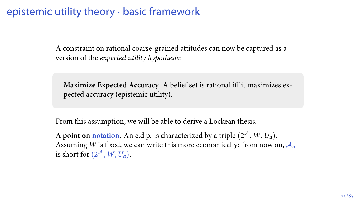A constraint on rational coarse-grained attitudes can now be captured as a version of the *expected utility hypothesis*:

**Maximize Expected Accuracy.** A belief set is rational iff it maximizes expected accuracy (epistemic utility).

From this assumption, we will be able to derive a Lockean thesis.

A point on notation. An e.d.p. is characterized by a triple  $(2^{\mathcal{A}}, W, U_a)$ . Assuming *W* is fixed, we can write this more economically: from now on, *A<sup>a</sup>* is short for  $(2^{\mathcal{A}}, W, U_a)$ .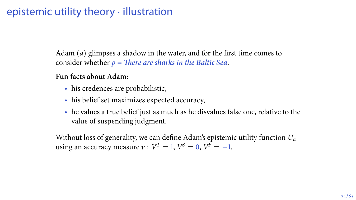#### epistemic utility theory *·* illustration

Adam (*a*) glimpses a shadow in the water, and for the first time comes to consider whether *p = There are sharks in the Baltic Sea*.

#### **Fun facts about Adam:**

- his credences are probabilistic,
- his belief set maximizes expected accuracy,
- he values a true belief just as much as he disvalues false one, relative to the value of suspending judgment.

Without loss of generality, we can define Adam's epistemic utility function *U<sup>a</sup>* using an accuracy measure  $v : V^T = 1, V^S = 0, V^F = -1.$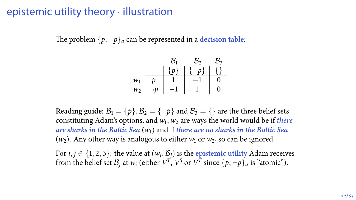#### epistemic utility theory *·* illustration

The problem  $\{p, \neg p\}$  can be represented in a decision table:

$$
w_1 \begin{array}{c||c} & \mathcal{B}_1 & \mathcal{B}_2 & \mathcal{B}_3 \\ \hline p & 1 & -1 & 0 \\ w_2 & \neg p & -1 & 1 & 0 \\ \end{array}
$$

**Reading guide:**  $B_1 = \{p\}, B_2 = \{\neg p\}$  and  $B_3 = \{\}$  are the three belief sets constituting Adam's options, and  $w_1$ ,  $w_2$  are ways the world would be if *there are sharks in the Baltic Sea* (*w*) and if *there are no sharks in the Baltic Sea*  $(w_2)$ . Any other way is analogous to either  $w_1$  or  $w_2$ , so can be ignored.

For  $i, j \in \{1, 2, 3\}$ : the value at  $(w_i, \mathcal{B}_j)$  is the epistemic utility Adam receives from the belief set  $\mathcal{B}_j$  at  $w_i$  (either  $V^T$ ,  $V^S$  or  $V^T$  since  $\{p, \neg p\}_a$  is "atomic").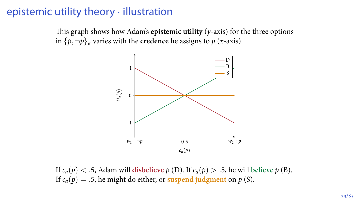#### epistemic utility theory *·* illustration

This graph shows how Adam's **epistemic utility** (*y*-axis) for the three options in  $\{p, \neg p\}$  varies with the **credence** he assigns to *p* (*x*-axis).



If  $c_a(p) < .5$ , Adam will **disbelieve**  $p(D)$ . If  $c_a(p) > .5$ , he will believe  $p(D)$ . If  $c_a(p) = .5$ , he might do either, or suspend judgment on  $p$  (S).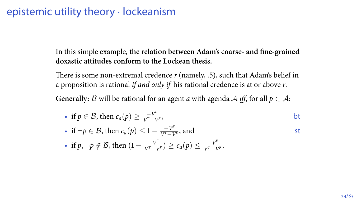#### epistemic utility theory *·* lockeanism

In this simple example, **the relation between Adam's coarse- and fine-grained doxastic attitudes conform to the Lockean thesis.**

There is some non-extremal credence *r* (namely, *.*), such that Adam's belief in a proposition is rational *if and only if* his rational credence is at or above *r*.

**Generally:** *B* will be rational for an agent *a* with agenda *A iff*, for all  $p \in A$ :

• if 
$$
p \in \mathcal{B}
$$
, then  $c_a(p) \ge \frac{-V^F}{V^T - V^F}$ ,

• if 
$$
\neg p \in \mathcal{B}
$$
, then  $c_a(p) \leq 1 - \frac{\nabla^F}{\nabla^T - \nabla^F}$ , and

• if  $p, \neg p \notin \mathcal{B}$ , then  $(1 - \frac{-v^F}{v^T - v^F}) \ge c_a(p) \le \frac{-v^F}{v^T - v^F}$  $\frac{-V}{V^T - V^F}$ .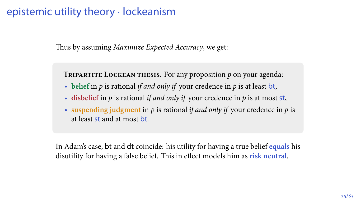### epistemic utility theory *·* lockeanism

Thus by assuming *Maximize Expected Accuracy*, we get:

**Tripartite Lockean thesis.** For any proposition *p* on your agenda:

- **belief** in *p* is rational *if and only if* your credence in *p* is at least bt,
- **disbelief** in *p* is rational *if and only if* your credence in *p* is at most st,
- **suspending judgment** in *p* is rational *if and only if* your credence in *p* is at least st and at most bt.

In Adam's case, bt and dt coincide: his utility for having a true belief **equals** his disutility for having a false belief. This in effect models him as **risk neutral**.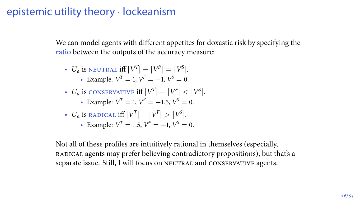#### epistemic utility theory *·* lockeanism

We can model agents with different appetites for doxastic risk by specifying the **ratio** between the outputs of the accuracy measure:

- $U_a$  is neutral iff  $|V^T| |V^F| = |V^S|$ . • Example:  $V^T = 1$ ,  $V^F = -1$ ,  $V^S = 0$ .
- $U_a$  is conservative iff  $|V^T|-|V^F|<|V^S|.$ 
	- Example:  $V^T = 1$ ,  $V^F = -1.5$ ,  $V^S = 0$ .
- *U<sub>a</sub>* is radical iff  $|V^T| |V^F| > |V^S|$ .
	- Example:  $V^T = 1.5$ ,  $V^F = -1$ ,  $V^S = 0$ .

Not all of these profiles are intuitively rational in themselves (especially, radical agents may prefer believing contradictory propositions), but that's a separate issue. Still, I will focus on NEUTRAL and CONSERVATIVE agents.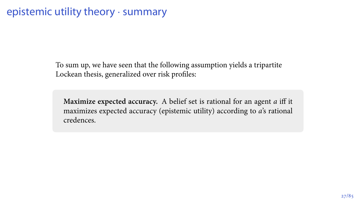To sum up, we have seen that the following assumption yields a tripartite Lockean thesis, generalized over risk profiles:

**Maximize expected accuracy.** A belief set is rational for an agent *a* iff it maximizes expected accuracy (epistemic utility) according to *a*'s rational credences.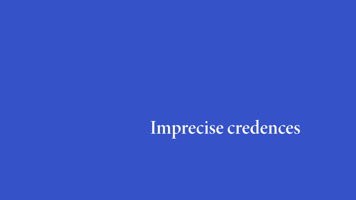# **Imprecise credences**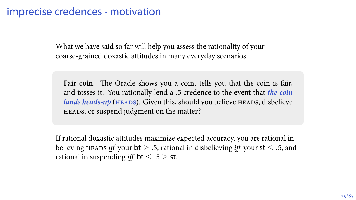What we have said so far will help you assess the rationality of your coarse-grained doxastic attitudes in many everyday scenarios.

**Fair coin.** The Oracle shows you a coin, tells you that the coin is fair, and tosses it. You rationally lend a .5 credence to the event that *the coin lands heads-up* (HEADS). Given this, should you believe HEADS, disbelieve HEADS, or suspend judgment on the matter?

If rational doxastic attitudes maximize expected accuracy, you are rational in believing HEADS *iff* your **bt**  $> 0.5$ , rational in disbelieving *iff* your st  $\leq 0.5$ , and rational in suspending *iff* bt  $\leq .5$  > st.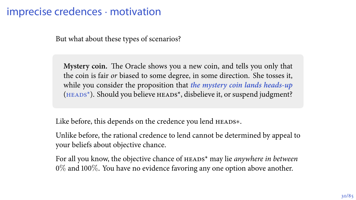But what about these types of scenarios?

**Mystery coin.** The Oracle shows you a new coin, and tells you only that the coin is fair *or* biased to some degree, in some direction. She tosses it, while you consider the proposition that *the mystery coin lands heads-up*  $(HEADS<sup>*</sup>)$ . Should you believe  $HEADS<sup>*</sup>$ , disbelieve it, or suspend judgment?

Like before, this depends on the credence you lend heads*∗*.

Unlike before, the rational credence to lend cannot be determined by appeal to your beliefs about objective chance.

For all you know, the objective chance of  $H$ EADS<sup>\*</sup> may lie *anywhere in between*  $0\%$  and  $100\%$ . You have no evidence favoring any one option above another.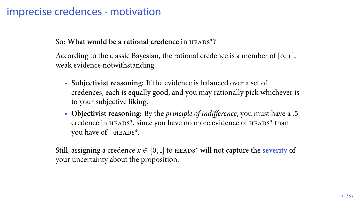#### So: What would be a rational credence in **HEADS\*?**

According to the classic Bayesian, the rational credence is a member of  $[0, 1]$ , weak evidence notwithstanding.

- **Subjectivist reasoning:** If the evidence is balanced over a set of credences, each is equally good, and you may rationally pick whichever is to your subjective liking.
- **Objectivist reasoning:** By the *principle of indifference*, you must have a *.* credence in HEADS<sup>\*</sup>, since you have no more evidence of HEADS<sup>\*</sup> than you have of  $\neg$ **HEADS<sup>\*</sup>**.

Still, assigning a credence  $x \in [0,1]$  to HEADS<sup>\*</sup> will not capture the *severity* of your uncertainty about the proposition.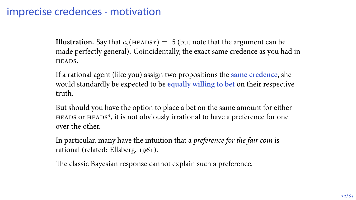**Illustration.** Say that  $c_y$ (HEADS<sup>\*</sup>) = .5 (but note that the argument can be made perfectly general). Coincidentally, the exact same credence as you had in HEADS.

If a rational agent (like you) assign two propositions the **same credence**, she would standardly be expected to be **equally willing to bet** on their respective truth.

But should you have the option to place a bet on the same amount for either heads or heads\*, it is not obviously irrational to have a preference for one over the other.

In particular, many have the intuition that a *preference for the fair coin* is rational (related: Ellsberg, 1961).

The classic Bayesian response cannot explain such a preference.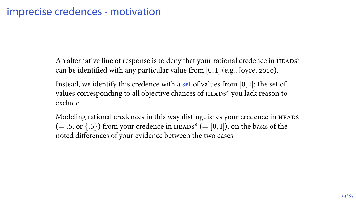An alternative line of response is to deny that your rational credence in  $H_{\text{EADS}}^*$ can be identified with any particular value from  $[0,1]$  (e.g., Joyce, 2010).

Instead, we identify this credence with a set of values from  $[0,1]$ : the set of values corresponding to all objective chances of HEADS\* you lack reason to exclude.

Modeling rational credences in this way distinguishes your credence in HEADS  $(= .5, \text{ or } {.5})$  from your credence in HEADS<sup>\*</sup>  $(= [0,1])$ , on the basis of the noted differences of your evidence between the two cases.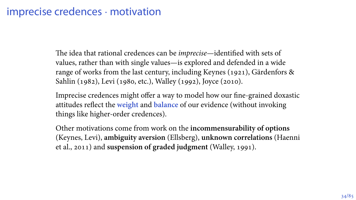The idea that rational credences can be *imprecise*—identified with sets of values, rather than with single values—is explored and defended in a wide range of works from the last century, including Keynes (1921), Gärdenfors & Sahlin (1982), Levi (1980, etc.), Walley (1992), Joyce (2010).

Imprecise credences might offer a way to model how our fine-grained doxastic attitudes reflect the **weight** and **balance** of our evidence (without invoking things like higher-order credences).

Other motivations come from work on the **incommensurability of options** (Keynes, Levi), **ambiguity aversion** (Ellsberg), **unknown correlations** (Haenni et al., 2011) and **suspension of graded judgment** (Walley, 1991).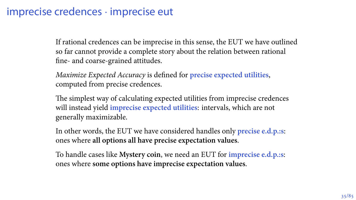#### imprecise credences *·* imprecise eut

If rational credences can be imprecise in this sense, the EUT we have outlined so far cannot provide a complete story about the relation between rational fine- and coarse-grained attitudes.

*Maximize Expected Accuracy* is defined for **precise expected utilities**, computed from precise credences.

The simplest way of calculating expected utilities from imprecise credences will instead yield **imprecise expected utilities**: intervals, which are not generally maximizable.

In other words, the EUT we have considered handles only **precise e.d.p.:s**: ones where **all options all have precise expectation values**.

To handle cases like **Mystery coin**, we need an EUT for **imprecise e.d.p.:s**: ones where **some options have imprecise expectation values**.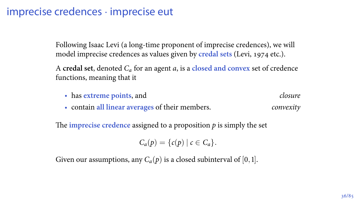#### imprecise credences *·* imprecise eut

Following Isaac Levi (a long-time proponent of imprecise credences), we will model imprecise credences as values given by **credal sets** (Levi, 1974 etc.).

A **credal set**, denoted *C<sup>a</sup>* for an agent *a*, is a **closed and convex** set of credence functions, meaning that it

- has **extreme points**, and *closure*
- contain **all linear averages** of their members. *convexity*

The **imprecise credence** assigned to a proposition  $p$  is simply the set

 $C_a(p) = \{c(p) | c \in C_a\}.$ 

Given our assumptions, any  $C_a(p)$  is a closed subinterval of [0, 1].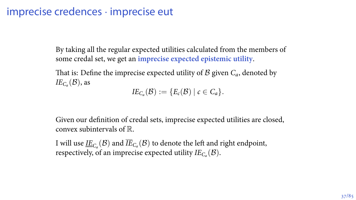#### imprecise credences *·* imprecise eut

By taking all the regular expected utilities calculated from the members of some credal set, we get an **imprecise expected epistemic utility**.

That is: Define the imprecise expected utility of  $\beta$  given  $C_a$ , denoted by  $IE_{C_a}(\mathcal{B})$ , as

 $I E_{C_a}(\mathcal{B}) := \{E_c(\mathcal{B}) \mid c \in C_a\}.$ 

Given our definition of credal sets, imprecise expected utilities are closed, convex subintervals of R.

I will use  $\underline{IE}_{C_a}(\mathcal{B})$  and  $\overline{IE}_{C_a}(\mathcal{B})$  to denote the left and right endpoint, respectively, of an imprecise expected utility  $IE_{C_a}(\mathcal{B})$ .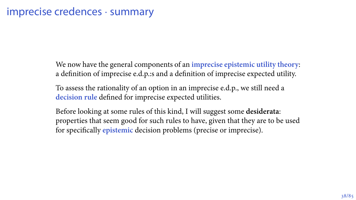We now have the general components of an **imprecise epistemic utility theory**: a definition of imprecise e.d.p.:s and a definition of imprecise expected utility.

To assess the rationality of an option in an imprecise e.d.p., we still need a **decision rule** defined for imprecise expected utilities.

Before looking at some rules of this kind, I will suggest some **desiderata**: properties that seem good for such rules to have, given that they are to be used for specifically **epistemic** decision problems (precise or imprecise).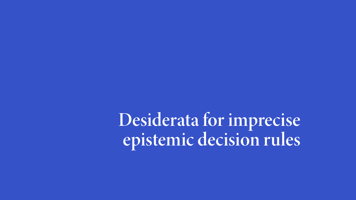**Desiderata for imprecise epistemic decision rules**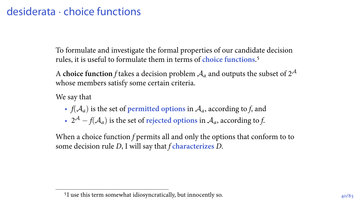# desiderata *·* choice functions

To formulate and investigate the formal properties of our candidate decision rules, it is useful to formulate them in terms of **choice functions**.

A **choice function**  $f$  takes a decision problem  $\mathcal{A}_a$  and outputs the subset of  $2^\mathcal{A}$ whose members satisfy some certain criteria.

We say that

- $f(A_a)$  is the set of **permitted options** in  $A_a$ , according to *f*, and
- *<sup>A</sup> − f*(*Aa*) is the set of **rejected options** in *Aa*, according to *f*.

When a choice function *f* permits all and only the options that conform to to some decision rule *D*, I will say that *f* **characterizes** *D*.

<sup>&</sup>lt;sup>5</sup>I use this term somewhat idiosyncratically, but innocently so.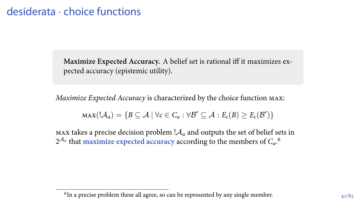**Maximize Expected Accuracy.** A belief set is rational iff it maximizes expected accuracy (epistemic utility).

*Maximize Expected Accuracy* is characterized by the choice function max:

$$
\max(\mathcal{A}_a) = \{B \subseteq \mathcal{A} \mid \forall c \in C_a : \forall \mathcal{B}' \subseteq \mathcal{A} : E_c(B) \geq E_c(\mathcal{B}')\}
$$

max takes a precise decision problem  $A_a$  and outputs the set of belief sets in  $2^{\mathcal{A}_a}$  that maximize expected accuracy according to the members of  $C_a$ .<sup>6</sup>

 $6$ In a precise problem these all agree, so can be represented by any single member.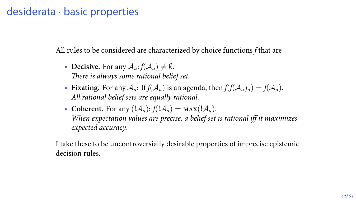## desiderata *·* basic properties

All rules to be considered are characterized by choice functions *f* that are

- **Decisive.** For any  $A_a$ :  $f(A_a) \neq \emptyset$ . *There is always some rational belief set.*
- **Fixating.** For any  $A_a$ : If  $f(A_a)$  is an agenda, then  $f(f(A_a)_a) = f(A_a)$ . *All rational belief sets are equally rational.*
- **Coherent.** For any  $(|A_a|: f(|A_a) = \text{MAX}(|A_a|)$ . *When expectation values are precise, a belief set is rational iff it maximizes expected accuracy.*

I take these to be uncontroversially desirable properties of imprecise epistemic decision rules.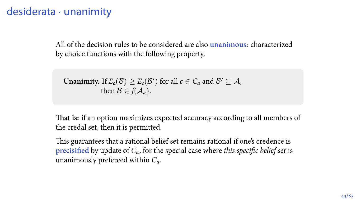# desiderata *·* unanimity

All of the decision rules to be considered are also **unanimous**: characterized by choice functions with the following property.

**Unanimity.** If  $E_c(\mathcal{B}) \ge E_c(\mathcal{B}')$  for all  $c \in C_a$  and  $\mathcal{B}' \subseteq \mathcal{A}$ , then  $\mathcal{B} \in f(\mathcal{A}_a)$ .

**That is:** if an option maximizes expected accuracy according to all members of the credal set, then it is permitted.

This guarantees that a rational belief set remains rational if one's credence is **precisified** by update of *Ca*, for the special case where *this specific belief set* is unanimously prefereed within *Ca*.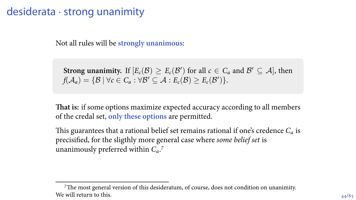### desiderata *·* strong unanimity

Not all rules will be **strongly unanimous**:

**Strong unanimity.** If  $[E_c(\mathcal{B}) \geq E_c(\mathcal{B}^\prime)$  for all  $c \in C_a$  and  $\mathcal{B}^\prime \subseteq \mathcal{A}$ , then  $f(A_a) = \{B \mid \forall c \in C_a : \forall B' \subseteq A : E_c(B) \geq E_c(B')\}.$ 

**That is:** if some options maximize expected accuracy according to all members of the credal set, **only these options** are permitted.

This guarantees that a rational belief set remains rational if one's credence *Ca* is precisified, for the sligthly more general case where *some belief set* is unanimously preferred within *Ca*.

The most general version of this desideratum, of course, does not condition on unanimity. We will return to this.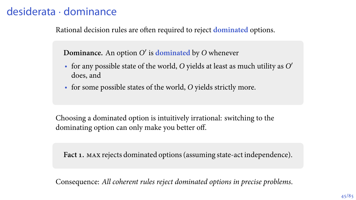# desiderata *·* dominance

Rational decision rules are often required to reject **dominated** options.

**Dominance.** An option *O ′* is **dominated** by *O* whenever

- for any possible state of the world, *O* yields at least as much utility as *O ′* does, and
- for some possible states of the world, *O* yields strictly more.

Choosing a dominated option is intuitively irrational: switching to the dominating option can only make you better off.

**Fact 1.** max rejects dominated options (assuming state-act independence).

Consequence: *All coherent rules reject dominated options in precise problems*.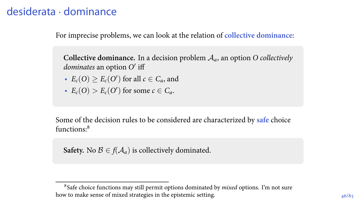# desiderata *·* dominance

For imprecise problems, we can look at the relation of **collective dominance**:

**Collective dominance.** In a decision problem *Aa*, an option *O collectively dominates* an option *O ′* iff

- $E_c(O) \ge E_c(O')$  for all  $c \in C_a$ , and
- $E_c(O) > E_c(O')$  for some  $c \in C_a$ .

Some of the decision rules to be considered are characterized by **safe** choice functions:<sup>8</sup>

**Safety.** No  $\mathcal{B} \in f(\mathcal{A}_a)$  is collectively dominated.

Safe choice functions may still permit options dominated by *mixed* options. I'm not sure how to make sense of mixed strategies in the epistemic setting.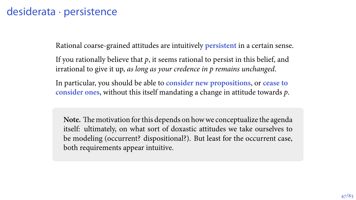## desiderata *·* persistence

Rational coarse-grained attitudes are intuitively **persistent** in a certain sense.

If you rationally believe that *p*, it seems rational to persist in this belief, and irrational to give it up, *as long as your credence in p remains unchanged*.

In particular, you should be able to **consider new propositions**, or **cease to consider ones**, without this itself mandating a change in attitude towards *p*.

**Note.** The motivation for this depends on how we conceptualize the agenda itself: ultimately, on what sort of doxastic attitudes we take ourselves to be modeling (occurrent? dispositional?). But least for the occurrent case, both requirements appear intuitive.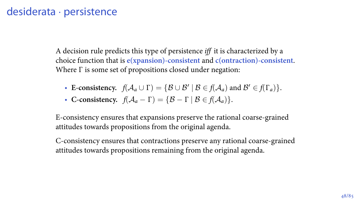## desiderata *·* persistence

A decision rule predicts this type of persistence *iff* it is characterized by a choice function that is **e(xpansion)-consistent** and **c(ontraction)-consistent**. Where Γ is some set of propositions closed under negation:

- **E-consistency.**  $f(A_a \cup \Gamma) = \{B \cup B' \mid B \in f(A_a) \text{ and } B' \in f(\Gamma_a)\}.$
- **C-consistency.**  $f(A_a \Gamma) = \{B \Gamma \mid B \in f(A_a)\}.$

E-consistency ensures that expansions preserve the rational coarse-grained attitudes towards propositions from the original agenda.

C-consistency ensures that contractions preserve any rational coarse-grained attitudes towards propositions remaining from the original agenda.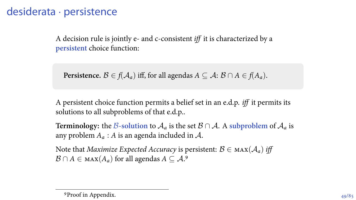## desiderata *·* persistence

A decision rule is jointly e- and c-consistent *iff* it is characterized by a **persistent** choice function:

**Persistence.**  $B \in f(A_a)$  iff, for all agendas  $A \subseteq A$ :  $B \cap A \in f(A_a)$ .

A persistent choice function permits a belief set in an e.d.p. *iff* it permits its solutions to all subproblems of that e.d.p..

**Terminology:** the *B***-solution** to  $A_a$  is the set  $B \cap A$ . A subproblem of  $A_a$  is any problem *A<sup>a</sup>* : *A* is an agenda included in *A*.

Note that *Maximize Expected Accuracy* is persistent:  $B \in \text{max}(\mathcal{A}_a)$  *iff*  $\mathcal{B} \cap A \in \max(A_a)$  for all agendas  $A \subseteq \mathcal{A}$ .<sup>9</sup>

<sup>&</sup>lt;sup>9</sup>Proof in Appendix.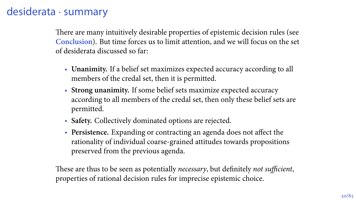# desiderata *·* summary

There are many intuitively desirable properties of epistemic decision rules (see **Conclusion**). But time forces us to limit attention, and we will focus on the set of desiderata discussed so far:

- **Unanimity.** If a belief set maximizes expected accuracy according to all members of the credal set, then it is permitted.
- **Strong unanimity.** If some belief sets maximize expected accuracy according to all members of the credal set, then only these belief sets are permitted.
- **Safety.** Collectively dominated options are rejected.
- **Persistence.** Expanding or contracting an agenda does not affect the rationality of individual coarse-grained attitudes towards propositions preserved from the previous agenda.

These are thus to be seen as potentially *necessary*, but definitely *not sufficient*, properties of rational decision rules for imprecise epistemic choice.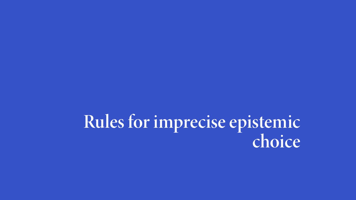**Rules for imprecise epistemic choice**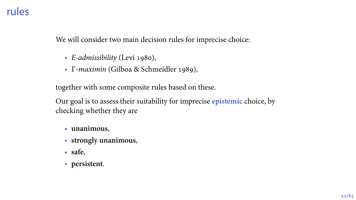### rules

We will consider two main decision rules for imprecise choice:

- *E-admissibility* (Levi 1980),
- Γ-maximin (Gilboa & Schmeidler 1989),

together with some composite rules based on these.

Our goal is to assess their suitability for imprecise **epistemic** choice, by checking whether they are

- **unanimous**,
- **strongly unanimous**,
- **safe**,
- **persistent**.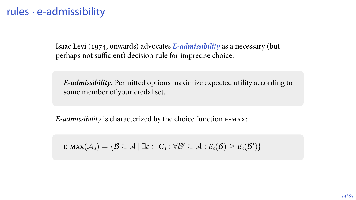Isaac Levi (1974, onwards) advocates *E-admissibility* as a necessary (but perhaps not sufficient) decision rule for imprecise choice:

*E-admissibility.* Permitted options maximize expected utility according to some member of your credal set.

*E-admissibility* is characterized by the choice function e-max:

 $\mathsf{E}\text{-}\mathsf{max}(\mathcal{A}_a)=\{\mathcal{B}\subseteq\mathcal{A}\mid \exists c\in C_a:\forall \mathcal{B}'\subseteq\mathcal{A}: E_c(\mathcal{B})\geq E_c(\mathcal{B}')\}$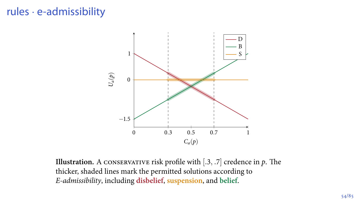

**Illustration.** A CONSERVATIVE risk profile with  $[0.3, 0.7]$  credence in  $p$ . The thicker, shaded lines mark the permitted solutions according to *E-admissibility*, including **disbelief**, **suspension**, and **belief**.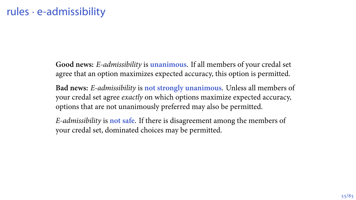**Good news:** *E-admissibility* is **unanimous**. If all members of your credal set agree that an option maximizes expected accuracy, this option is permitted.

**Bad news:** *E-admissibility* is **not strongly unanimous**. Unless all members of your credal set agree *exactly* on which options maximize expected accuracy, options that are not unanimously preferred may also be permitted.

*E-admissibility* is **not safe**. If there is disagreement among the members of your credal set, dominated choices may be permitted.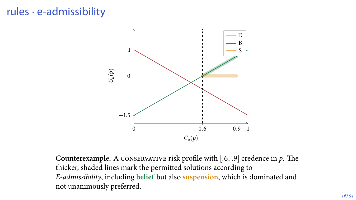

**Counterexample.** A conservative risk profile with [*., .*] credence in *p*. The thicker, shaded lines mark the permitted solutions according to *E-admissibility*, including **belief** but also **suspension**, which is dominated and not unanimously preferred.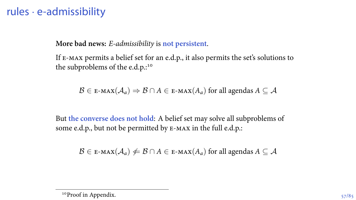**More bad news:** *E-admissibility* is **not persistent**.

If e-max permits a belief set for an e.d.p., it also permits the set's solutions to the subproblems of the e.d.p.:<sup>10</sup>

$$
\mathcal{B}\in \text{E-MAX}(\mathcal{A}_a)\Rightarrow \mathcal{B}\cap A\in \text{E-MAX}(A_a) \text{ for all agents } A\subseteq \mathcal{A}
$$

But **the converse does not hold**: A belief set may solve all subproblems of some e.d.p., but not be permitted by E-MAX in the full e.d.p.:

$$
\mathcal{B} \in \text{E-MAX}(\mathcal{A}_a) \neq \mathcal{B} \cap A \in \text{E-MAX}(A_a) \text{ for all agenda } A \subseteq \mathcal{A}
$$

<sup>&</sup>lt;sup>10</sup>Proof in Appendix.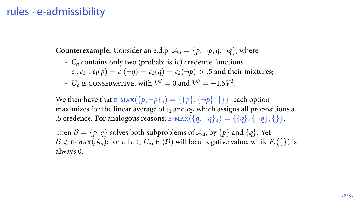**Counterexample.** Consider an e.d.p.  $A_a = \{p, \neg p, q, \neg q\}$ , where

- *C<sup>a</sup>* contains only two (probabilistic) credence functions  $c_1, c_2 : c_1(p) = c_1(\neg q) = c_2(q) = c_2(\neg p) > .5$  and their mixtures;
- $U_a$  is conservative, with  $V^S = 0$  and  $V^F = -1.5V^T$ .

We then have that  $E-MAX({p, \neg p}_a) = {\{p\}, {\{\neg p\}, \{\}\}}$ : each option maximizes for the linear average of  $c_1$  and  $c_2$ , which assigns all propositions a  $\mathbf{F}$  credence. For analogous reasons,  $\mathbf{F}$ -MAX( $\{q, \neg q\}_a$ ) =  $\{\{q\}, \{\neg q\}, \{\}\}.$ 

Then  $\mathcal{B} = \{p, q\}$  solves both subproblems of  $\mathcal{A}_a$ , by  $\{p\}$  and  $\{q\}$ . Yet  $B \notin E$ -MAX $(A_a)$ : for all  $c \in C_a$ ,  $E_c(B)$  will be a negative value, while  $E_c(\{\})$  is always 0.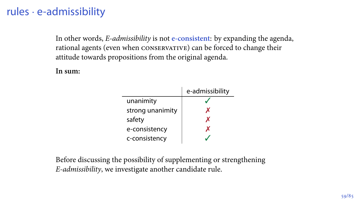In other words, *E-admissibility* is not **e-consistent**: by expanding the agenda, rational agents (even when conservative) can be forced to change their attitude towards propositions from the original agenda.

**In sum:**

|                  | e-admissibility |
|------------------|-----------------|
| unanimity        |                 |
| strong unanimity | x               |
| safety           | x               |
| e-consistency    |                 |
| c-consistency    |                 |

Before discussing the possibility of supplementing or strengthening *E-admissibility*, we investigate another candidate rule.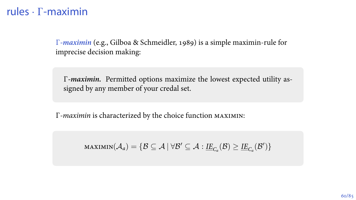*Γ-maximin* (e.g., Gilboa & Schmeidler, 1989) is a simple maximin-rule for imprecise decision making:

Γ*-maximin.* Permitted options maximize the lowest expected utility assigned by any member of your credal set.

Γ*-maximin* is characterized by the choice function maximin:

 $\textsf{maximin}(\mathcal{A}_a) = \{\mathcal{B} \subseteq \mathcal{A} \ | \ \forall \mathcal{B}' \subseteq \mathcal{A} : \underline{\textit{IE}}_{C_a}(\mathcal{B}) \geq \underline{\textit{IE}}_{C_a}(\mathcal{B}')\}$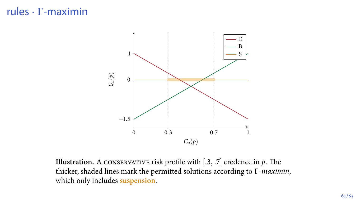

**Illustration.** A CONSERVATIVE risk profile with  $[.3, .7]$  credence in  $p$ . The thicker, shaded lines mark the permitted solutions according to Γ*-maximin*, which only includes **suspension**.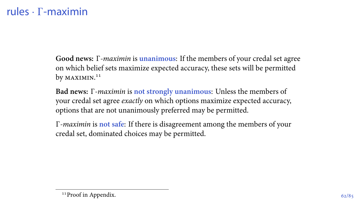**Good news:** Γ*-maximin* is **unanimous**: If the members of your credal set agree on which belief sets maximize expected accuracy, these sets will be permitted by maximin.<sup>11</sup>

**Bad news:** Γ*-maximin* is **not strongly unanimous**: Unless the members of your credal set agree *exactly* on which options maximize expected accuracy, options that are not unanimously preferred may be permitted.

Γ*-maximin* is **not safe**: If there is disagreement among the members of your credal set, dominated choices may be permitted.

<sup>&</sup>lt;sup>11</sup>Proof in Appendix.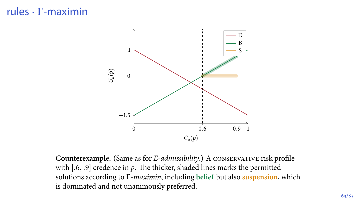

**Counterexample.** (Same as for *E-admissibility*.) A conservative risk profile with [.6, .9] credence in  $p$ . The thicker, shaded lines marks the permitted solutions according to Γ*-maximin*, including **belief** but also **suspension**, which is dominated and not unanimously preferred.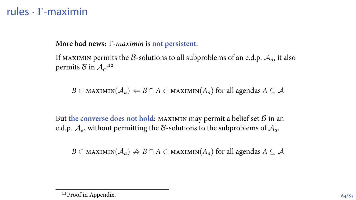**More bad news:** Γ*-maximin* is **not persistent**.

If MAXIMIN permits the *B*-solutions to all subproblems of an e.d.p.  $A_a$ , it also permits  $\mathcal{B}$  in  $\mathcal{A}_a$ :<sup>12</sup>

 $B \in$  maximin( $A_a$ )  $\Leftarrow$  *B*  $\cap$  *A*  $\in$  maximin( $A_a$ ) for all agendas  $A \subseteq A$ 

But **the converse does not hold**: maximin may permit a belief set *B* in an e.d.p.  $A_a$ , without permitting the *B*-solutions to the subproblems of  $A_a$ .

 $B \in$  maximin( $A_a$ )  $\neq$   $B \cap A \in$  maximin( $A_a$ ) for all agendas  $A \subseteq A$ 

<sup>&</sup>lt;sup>12</sup>Proof in Appendix.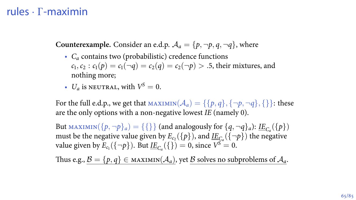**Counterexample.** Consider an e.d.p.  $A_a = \{p, \neg p, q, \neg q\}$ , where

- *C<sup>a</sup>* contains two (probabilistic) credence functions  $c_1, c_2 : c_1(p) = c_1(\neg q) = c_2(q) = c_2(\neg p) > .5$ , their mixtures, and nothing more;
- $U_a$  is neutral, with  $V^S = 0$ .

For the full e.d.p., we get that  $\text{MAXIMIN}(\mathcal{A}_a) = \{\{p, q\}, \{\neg p, \neg q\}, \{\}\}\$ : these are the only options with a non-negative lowest *IE* (namely ).

But  $\text{MAXIMIN}(\{p, \neg p\}_a) = \{\{\}\}\$  (and analogously for  $\{q, \neg q\}_a$ ):  $\underline{\text{IE}}_{C_a}(\{p\})$ must be the negative value given by  $E_{c_2}(\{p\})$ , and  $\underline{IE}_{C_a}(\{\neg p\})$  the negative value given by  $E_{c_1}(\{\neg p\})$ . But  $\underline{IE}_{C_a}(\{\}) = 0$ , since  $V^S = 0$ .

Thus e.g.,  $\mathcal{B} = \{p, q\} \in \text{MAXIMIN}(\mathcal{A}_a)$ , yet  $\mathcal B$  solves no subproblems of  $\mathcal A_a$ .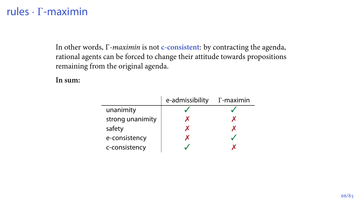In other words, Γ*-maximin* is not **c-consistent**: by contracting the agenda, rational agents can be forced to change their attitude towards propositions remaining from the original agenda.

**In sum:**

|                  | e-admissibility | $\Gamma$ -maximin |
|------------------|-----------------|-------------------|
| unanimity        |                 |                   |
| strong unanimity |                 |                   |
| safety           |                 |                   |
| e-consistency    |                 |                   |
| c-consistency    |                 |                   |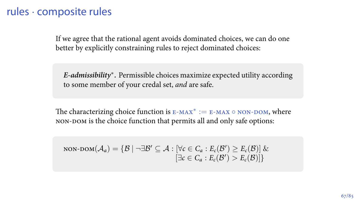### rules *·* composite rules

If we agree that the rational agent avoids dominated choices, we can do one better by explicitly constraining rules to reject dominated choices:

*E-admissibility<sup>∗</sup> .* Permissible choices maximize expected utility according to some member of your credal set, *and* are safe.

The characterizing choice function is E-мах<sup>∗</sup> := E-мах ∘ NON-DOM, where NON-DOM is the choice function that permits all and only safe options:

$$
non\text{-}\text{DOM}(\mathcal{A}_a) = \{ \mathcal{B} \mid \neg \exists \mathcal{B}' \subseteq \mathcal{A} : [\forall c \in C_a : E_c(\mathcal{B}') \ge E_c(\mathcal{B})] \& \newline [\exists c \in C_a : E_c(\mathcal{B}') > E_c(\mathcal{B})] \}
$$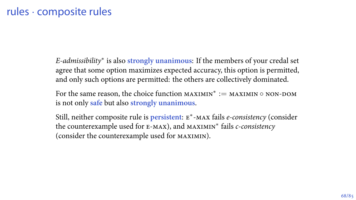*E-admissibility<sup>∗</sup>* is also **strongly unanimous**: If the members of your credal set agree that some option maximizes expected accuracy, this option is permitted, and only such options are permitted: the others are collectively dominated.

For the same reason, the choice function maximin*<sup>∗</sup>* := maximin *◦* non-dom is not only **safe** but also **strongly unanimous**.

Still, neither composite rule is **persistent**: e *∗* -max fails *e-consistency* (consider the counterexample used for e-max), and maximin*<sup>∗</sup>* fails *c-consistency* (consider the counterexample used for maximin).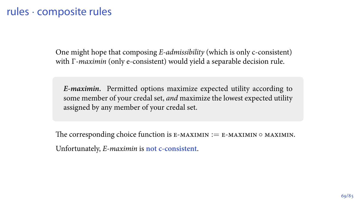## rules *·* composite rules

One might hope that composing *E-admissibility* (which is only c-consistent) with Γ*-maximin* (only e-consistent) would yield a separable decision rule.

*E-maximin***.** Permitted options maximize expected utility according to some member of your credal set, *and* maximize the lowest expected utility assigned by any member of your credal set.

The corresponding choice function is e-maximin := e-maximin *◦* maximin. Unfortunately, *E-maximin* is **not c-consistent**.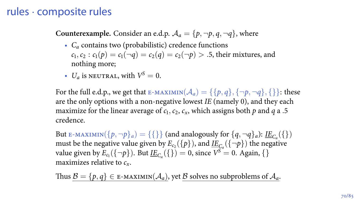## rules *·* composite rules

**Counterexample.** Consider an e.d.p.  $A_a = \{p, \neg p, q, \neg q\}$ , where

- *C<sup>a</sup>* contains two (probabilistic) credence functions  $c_1, c_2 : c_1(p) = c_1(\neg q) = c_2(q) = c_2(\neg p) > .5$ , their mixtures, and nothing more;
- $U_a$  is neutral, with  $V^S=0$ .

For the full e.d.p., we get that E-MAXIMIN( $\mathcal{A}_a$ ) = {{ $p, q$ }, {¬p,¬q}, {}}: these are the only options with a non-negative lowest *IE* (namely ), and they each maximize for the linear average of  $c_1$ ,  $c_2$ ,  $c_x$ , which assigns both  $p$  and  $q$  a .5 credence.

But E-MAXIMIN( $\{p, \neg p\}_a$ ) =  $\{\{\}\}$  (and analogously for  $\{q, \neg q\}_a$ ): <u>IE</u><sub>Ca</sub>( $\{\}\}$ ) must be the negative value given by  $E_{c_2}(\{p\})$ , and  $\underline{IE}_{C_a}(\{\neg p\})$  the negative value given by  $E_{c_1}(\{\neg p\})$ . But <u>IE</u><sub>*C<sub>a</sub>*</sub>({}) = 0, since  $V^S = 0$ . Again, {} maximizes relative to *cx*.

Thus  $\mathcal{B} = \{p, q\} \in \mathbb{E}$ -MAXIMIN $(\mathcal{A}_a)$ , yet  $\mathcal B$  solves no subproblems of  $\mathcal A_a$ .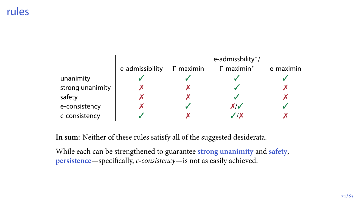## rules

|                  |                 |                   | e-admissbility*/   |           |
|------------------|-----------------|-------------------|--------------------|-----------|
|                  | e-admissibility | $\Gamma$ -maximin | $\Gamma$ -maximin* | e-maximin |
| unanimity        |                 |                   |                    |           |
| strong unanimity |                 |                   |                    |           |
| safety           |                 |                   |                    |           |
| e-consistency    |                 |                   | XI J               |           |
| c-consistency    |                 |                   | $J$ / X            |           |

**In sum:** Neither of these rules satisfy all of the suggested desiderata.

While each can be strengthened to guarantee **strong unanimity** and **safety**, **persistence**—specifically, *c-consistency*—is not as easily achieved.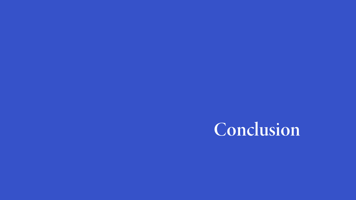## **Conclusion**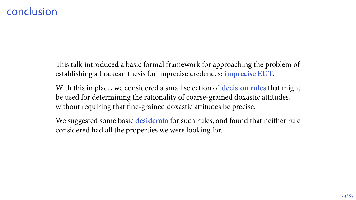#### conclusion

This talk introduced a basic formal framework for approaching the problem of establishing a Lockean thesis for imprecise credences: **imprecise EUT**.

With this in place, we considered a small selection of **decision rules** that might be used for determining the rationality of coarse-grained doxastic attitudes, without requiring that fine-grained doxastic attitudes be precise.

We suggested some basic **desiderata** for such rules, and found that neither rule considered had all the properties we were looking for.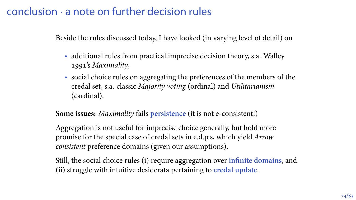#### conclusion *·* a note on further decision rules

Beside the rules discussed today, I have looked (in varying level of detail) on

- additional rules from practical imprecise decision theory, s.a. Walley 's *Maximality*,
- social choice rules on aggregating the preferences of the members of the credal set, s.a. classic *Majority voting* (ordinal) and *Utilitarianism* (cardinal).

**Some issues:** *Maximality* fails **persistence** (it is not e-consistent!)

Aggregation is not useful for imprecise choice generally, but hold more promise for the special case of credal sets in e.d.p.s, which yield *Arrow consistent* preference domains (given our assumptions).

Still, the social choice rules (i) require aggregation over **infinite domains**, and (ii) struggle with intuitive desiderata pertaining to **credal update**.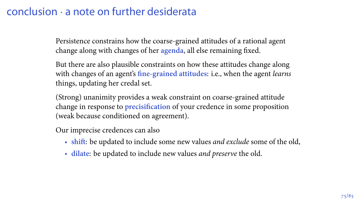#### conclusion *·* a note on further desiderata

Persistence constrains how the coarse-grained attitudes of a rational agent change along with changes of her **agenda**, all else remaining fixed.

But there are also plausible constraints on how these attitudes change along with changes of an agent's **fine-grained attitudes**: i.e., when the agent *learns* things, updating her credal set.

(Strong) unanimity provides a weak constraint on coarse-grained attitude change in response to **precisification** of your credence in some proposition (weak because conditioned on agreement).

Our imprecise credences can also

- **shift**: be updated to include some new values *and exclude* some of the old,
- **dilate**: be updated to include new values *and preserve* the old.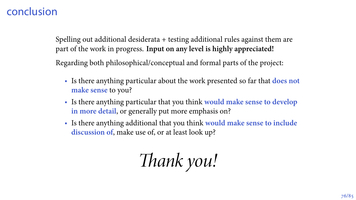#### conclusion

Spelling out additional desiderata + testing additional rules against them are part of the work in progress. **Input on any level is highly appreciated!**

Regarding both philosophical/conceptual and formal parts of the project:

- Is there anything particular about the work presented so far that **does not make sense** to you?
- Is there anything particular that you think **would make sense to develop in more detail**, or generally put more emphasis on?
- Is there anything additional that you think **would make sense to include discussion of**, make use of, or at least look up?

*Thank you!*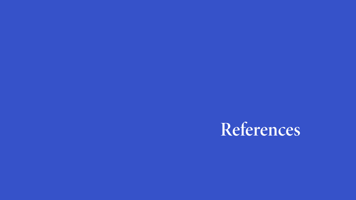### **References**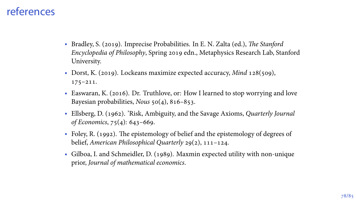#### references

- Bradley, S. (2019). Imprecise Probabilities. In E. N. Zalta (ed.), *The Stanford Encyclopedia of Philosophy*, Spring 2019 edn., Metaphysics Research Lab, Stanford University.
- Dorst, K. (2019). Lockeans maximize expected accuracy, *Mind* 128(509),  $175 - 211.$
- Easwaran, K. (2016). Dr. Truthlove, or: How I learned to stop worrying and love Bayesian probabilities, *Nous*  $50(4)$ ,  $816-853$ .
- Ellsberg, D. (). 'Risk, Ambiguity, and the Savage Axioms, *Quarterly Journal of Economics*, 75(4): 643-669.
- Foley, R. (1992). The epistemology of belief and the epistemology of degrees of belief, *American Philosophical Quarterly* 29(2), 111-124.
- Gilboa, I. and Schmeidler, D. (1989). Maxmin expected utility with non-unique prior, *Journal of mathematical economics*.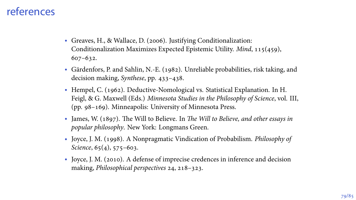#### references

- Greaves, H., & Wallace, D. (2006). Justifying Conditionalization: Conditionalization Maximizes Expected Epistemic Utility. *Mind*, 115(459),  $607 - 632.$
- Gärdenfors, P. and Sahlin, N.-E. (1982). Unreliable probabilities, risk taking, and decision making, *Synthese*, pp. 433-438.
- Hempel, C. (1962). Deductive-Nomological vs. Statistical Explanation. In H. Feigl, & G. Maxwell (Eds.) *Minnesota Studies in the Philosophy of Science*, vol. III, (pp.  $98-169$ ). Minneapolis: University of Minnesota Press.
- James, W. (1897). The Will to Believe. In *The Will to Believe, and other essays in popular philosophy*. New York: Longmans Green.
- Joyce, J. M. (1998). A Nonpragmatic Vindication of Probabilism. *Philosophy of Science*, 65(4), 575-603.
- Joyce, J. M. (2010). A defense of imprecise credences in inference and decision making, *Philosophical perspectives* 24, 218-323.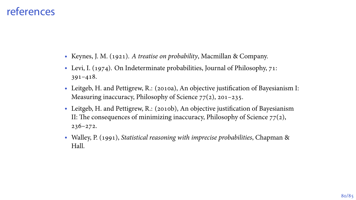#### references

- Keynes, J. M. (1921). *A treatise on probability*, Macmillan & Company.
- Levi, I. (1974). On Indeterminate probabilities, Journal of Philosophy,  $71$ :  $391 - 418.$
- Leitgeb, H. and Pettigrew, R.: (2010a), An objective justification of Bayesianism I: Measuring inaccuracy, Philosophy of Science  $77(2)$ , 201-235.
- Leitgeb, H. and Pettigrew, R.: (2010b), An objective justification of Bayesianism II: The consequences of minimizing inaccuracy, Philosophy of Science  $77(2)$ ,  $236 - 272.$
- Walley, P. (1991), *Statistical reasoning with imprecise probabilities*, Chapman & Hall.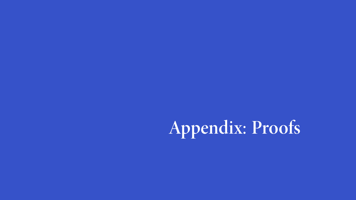# **Appendix: Proofs**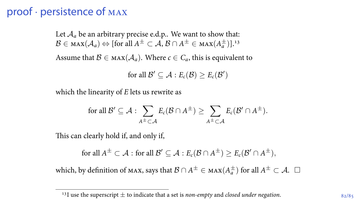#### proof *·* persistence of max

Let  $A_a$  be an arbitrary precise e.d.p.. We want to show that: *B* ∈ мах $(A_a)$  ⇔ [for all  $A^{\pm} \subset A$ ,  $B \cap A^{\pm} \in \max(A^{\pm}_a)$ ].<sup>13</sup>

Assume that  $\mathcal{B} \in \text{max}(\mathcal{A}_a)$ . Where  $c \in C_a$ , this is equivalent to

for all  $\mathcal{B}' \subseteq \mathcal{A} : E_c(\mathcal{B}) \geq E_c(\mathcal{B}')$ 

which the linearity of *E* lets us rewrite as

$$
\text{ for all } \mathcal{B}' \subseteq \mathcal{A} : \sum_{A^{\pm} \subset \mathcal{A}} E_c(\mathcal{B} \cap A^{\pm}) \geq \sum_{A^{\pm} \subset \mathcal{A}} E_c(\mathcal{B}' \cap A^{\pm}).
$$

This can clearly hold if, and only if,

$$
\text{for all } A^\pm \subset \mathcal{A} \text{ : for all } \mathcal{B}' \subseteq \mathcal{A} \text{ : } E_c(\mathcal{B} \cap A^\pm) \geq E_c(\mathcal{B}' \cap A^\pm),
$$

 $\mathsf{which, by definition of max, says that } \mathcal{B} \cap A^{\pm} \in \max(A^{\pm}_a) \text{ for all } A^{\pm} \subset \mathcal{A}. \ \ \Box$ 

<sup>&</sup>lt;sup>13</sup>I use the superscript  $\pm$  to indicate that a set is *non-empty* and *closed under negation*.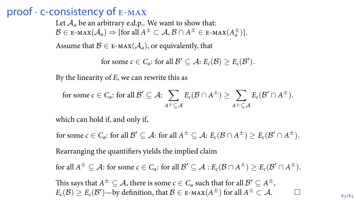#### proof *·* c-consistency of e-max

Let  $A_a$  be an arbitrary e.d.p.. We want to show that: *B* ∈ E-мах $(A_a)$   $\Rightarrow$  [for all  $A^{\pm} \subset A$ ,  $B \cap A^{\pm} \in$  E-мах $(A_a^{\pm})$ ].

Assume that  $B \in E$ -MAX $(A_a)$ , or equivalently, that

for some 
$$
c \in C_a
$$
: for all  $\mathcal{B}' \subseteq \mathcal{A}$ :  $E_c(\mathcal{B}) \ge E_c(\mathcal{B}')$ .

By the linearity of *E*, we can rewrite this as

for some 
$$
c \in C_a
$$
: for all  $\mathcal{B}' \subseteq \mathcal{A}$ :  $\sum_{A^{\pm} \subseteq \mathcal{A}} E_c(\mathcal{B} \cap A^{\pm}) \ge \sum_{A^{\pm} \subseteq \mathcal{A}} E_c(\mathcal{B}' \cap A^{\pm})$ .

which can hold if, and only if,

for some  $c \in C_a$ : for all  $\mathcal{B}' \subseteq \mathcal{A}$ : for all  $A^{\pm} \subseteq \mathcal{A}$ :  $E_c(\mathcal{B} \cap A^{\pm}) \ge E_c(\mathcal{B}' \cap A^{\pm})$ .

Rearranging the quantifiers yields the implied claim

for all  $A^{\pm} \subseteq A$ : for some  $c \in C_a$ : for all  $\mathcal{B}' \subseteq \mathcal{A} : E_c(\mathcal{B} \cap A^{\pm}) \ge E_c(\mathcal{B}' \cap A^{\pm}).$ 

This says that  $A^{\pm} \subseteq A$ , there is some  $c \in C_a$  such that for all  $\mathcal{B}' \subseteq A^{\pm}$ ,  $E_c(\mathcal{B}) \ge E_c(\mathcal{B}')$ —by definition, that  $\mathcal{B} \in E\text{-max}(A^\pm)$  for all  $A^\pm \subset \mathcal{A}$ . □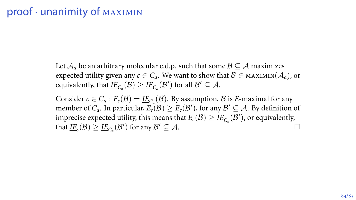Let  $A_a$  be an arbitrary molecular e.d.p. such that some  $B \subseteq A$  maximizes expected utility given any  $c \in C_a$ . We want to show that  $\mathcal{B} \in \text{MAXIMIN}(\mathcal{A}_a)$ , or equivalently, that  $\underline{IE}_{C_a}(\mathcal{B}) \geq \underline{IE}_{C_a}(\mathcal{B}')$  for all  $\mathcal{B}' \subseteq \mathcal{A}$ .

Consider  $c \in C_a : E_c(\mathcal{B}) = \underline{IE}_{C_a}(\mathcal{B})$ . By assumption,  $\mathcal{B}$  is  $E$ -maximal for any member of  $C_a$ . In particular,  $E_c(\mathcal{B}) \geq E_c(\mathcal{B}')$ , for any  $\mathcal{B}' \subseteq \mathcal{A}$ . By definition of imprecise expected utility, this means that  $E_c(\mathcal{B}) \geq \underline{I E}_{C_a}(\mathcal{B}')$ , or equivalently, that  $\underline{IE}_c(\mathcal{B}) \ge \underline{IE}_{C_a}(\mathcal{B}')$  for any  $\mathcal{B}' \subseteq \mathcal{A}$ .